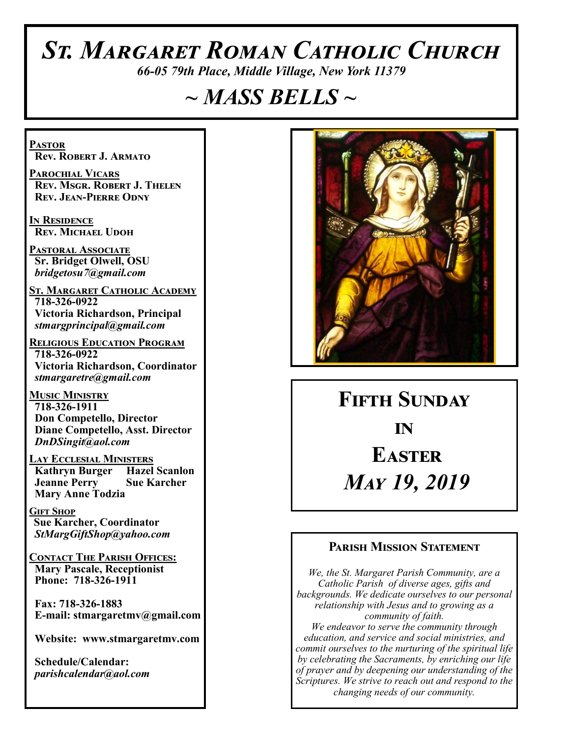# *St. Margaret Roman Catholic Church*

*66-05 79th Place, Middle Village, New York 11379*

# *~ MASS BELLS ~*

**Pastor Rev. Robert J. Armato**

**Parochial Vicars Rev. Msgr. Robert J. Thelen Rev. Jean-Pierre Odny**

**In Residence Rev. Michael Udoh**

**Pastoral Associate Sr. Bridget Olwell, OSU**  *bridgetosu7@gmail.com*

**St. Margaret Catholic Academy 718-326-0922 Victoria Richardson, Principal**  *stmargprincipal@gmail.com*

**Religious Education Program 718-326-0922 Victoria Richardson, Coordinator** *stmargaretre@gmail.com*

**Music Ministry 718-326-1911 Don Competello, Director Diane Competello, Asst. Director** *DnDSingit@aol.com*

**Lay Ecclesial Ministers Kathryn Burger Jeanne Perry Sue Karcher Mary Anne Todzia**

**Gift Shop Sue Karcher, Coordinator** *StMargGiftShop@yahoo.com*

**Contact The Parish Offices: Mary Pascale, Receptionist Phone: 718-326-1911** 

 **Fax: 718-326-1883 E-mail: stmargaretmv@gmail.com**

 **Website: www.stmargaretmv.com**

 **Schedule/Calendar:** *parishcalendar@aol.com* 



**Fifth Sunday in Easter** *May 19, 2019* 

#### **Parish Mission Statement**

*We, the St. Margaret Parish Community, are a Catholic Parish of diverse ages, gifts and backgrounds. We dedicate ourselves to our personal relationship with Jesus and to growing as a community of faith. We endeavor to serve the community through education, and service and social ministries, and commit ourselves to the nurturing of the spiritual life by celebrating the Sacraments, by enriching our life of prayer and by deepening our understanding of the Scriptures. We strive to reach out and respond to the changing needs of our community.*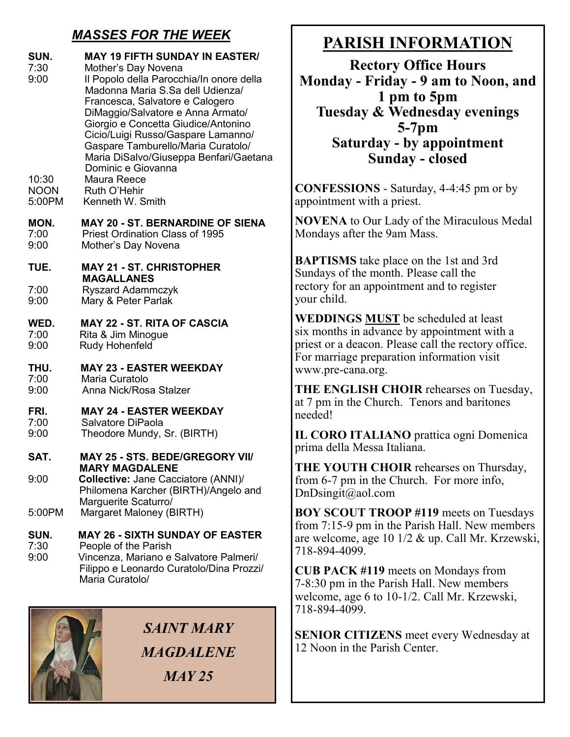# *MASSES FOR THE WEEK*

| SUN.<br>7:30<br>9:00<br>10:30<br><b>NOON</b><br>5:00PM | <b>MAY 19 FIFTH SUNDAY IN EASTER/</b><br>Mother's Day Novena<br>Il Popolo della Parocchia/In onore della<br>Madonna Maria S.Sa dell Udienza/<br>Francesca, Salvatore e Calogero<br>DiMaggio/Salvatore e Anna Armato/<br>Giorgio e Concetta Giudice/Antonino<br>Cicio/Luigi Russo/Gaspare Lamanno/<br>Gaspare Tamburello/Maria Curatolo/<br>Maria DiSalvo/Giuseppa Benfari/Gaetana<br>Dominic e Giovanna<br>Maura Reece<br>Ruth O'Hehir<br>Kenneth W. Smith |
|--------------------------------------------------------|------------------------------------------------------------------------------------------------------------------------------------------------------------------------------------------------------------------------------------------------------------------------------------------------------------------------------------------------------------------------------------------------------------------------------------------------------------|
| MON.                                                   | <b>MAY 20 - ST. BERNARDINE OF SIENA</b>                                                                                                                                                                                                                                                                                                                                                                                                                    |
| 7:00                                                   | <b>Priest Ordination Class of 1995</b>                                                                                                                                                                                                                                                                                                                                                                                                                     |
| 9:00                                                   | Mother's Day Novena                                                                                                                                                                                                                                                                                                                                                                                                                                        |
| TUE.                                                   | <b>MAY 21 - ST. CHRISTOPHER</b><br><b>MAGALLANES</b>                                                                                                                                                                                                                                                                                                                                                                                                       |
| 7:00                                                   | <b>Ryszard Adammczyk</b>                                                                                                                                                                                                                                                                                                                                                                                                                                   |
| 9:00                                                   | Mary & Peter Parlak                                                                                                                                                                                                                                                                                                                                                                                                                                        |
| WED.                                                   | <b>MAY 22 - ST. RITA OF CASCIA</b>                                                                                                                                                                                                                                                                                                                                                                                                                         |
| 7:00                                                   | Rita & Jim Minogue                                                                                                                                                                                                                                                                                                                                                                                                                                         |
| 9:00                                                   | Rudy Hohenfeld                                                                                                                                                                                                                                                                                                                                                                                                                                             |
| THU.                                                   | <b>MAY 23 - EASTER WEEKDAY</b>                                                                                                                                                                                                                                                                                                                                                                                                                             |
| 7:00                                                   | Maria Curatolo                                                                                                                                                                                                                                                                                                                                                                                                                                             |
| 9:00                                                   | Anna Nick/Rosa Stalzer                                                                                                                                                                                                                                                                                                                                                                                                                                     |
| FRI.                                                   | <b>MAY 24 - EASTER WEEKDAY</b>                                                                                                                                                                                                                                                                                                                                                                                                                             |
| 7:00                                                   | Salvatore DiPaola                                                                                                                                                                                                                                                                                                                                                                                                                                          |
| 9:00                                                   | Theodore Mundy, Sr. (BIRTH)                                                                                                                                                                                                                                                                                                                                                                                                                                |
| SAT.                                                   | MAY 25 - STS. BEDE/GREGORY VII/                                                                                                                                                                                                                                                                                                                                                                                                                            |
| 9:00<br>5:00PM                                         | MARY MAGDALENE<br>Collective: Jane Cacciatore (ANNI)/<br>Philomena Karcher (BIRTH)/Angelo and<br>Marguerite Scaturro/<br>Margaret Maloney (BIRTH)                                                                                                                                                                                                                                                                                                          |
| SUN.                                                   | <b>MAY 26 - SIXTH SUNDAY OF EASTER</b>                                                                                                                                                                                                                                                                                                                                                                                                                     |
| 7:30                                                   | People of the Parish                                                                                                                                                                                                                                                                                                                                                                                                                                       |
| ∩.∩∩                                                   | riana a Calvatara Dalmaril                                                                                                                                                                                                                                                                                                                                                                                                                                 |

9:00 Vincenza, Mariano e Salvatore Palmeri/ Filippo e Leonardo Curatolo/Dina Prozzi/ Maria Curatolo/



*SAINT MARY MAGDALENE MAY 25* 

# **PARISH INFORMATION**

**Rectory Office Hours Monday - Friday - 9 am to Noon, and 1 pm to 5pm Tuesday & Wednesday evenings 5-7pm Saturday - by appointment Sunday - closed**

**CONFESSIONS** - Saturday, 4-4:45 pm or by appointment with a priest.

**NOVENA** to Our Lady of the Miraculous Medal Mondays after the 9am Mass.

**BAPTISMS** take place on the 1st and 3rd Sundays of the month. Please call the rectory for an appointment and to register your child.

**WEDDINGS MUST** be scheduled at least six months in advance by appointment with a priest or a deacon. Please call the rectory office. For marriage preparation information visit www.pre-cana.org.

**THE ENGLISH CHOIR** rehearses on Tuesday, at 7 pm in the Church. Tenors and baritones needed!

**IL CORO ITALIANO** prattica ogni Domenica prima della Messa Italiana.

**THE YOUTH CHOIR** rehearses on Thursday, from 6-7 pm in the Church. For more info, DnDsingit@aol.com

**BOY SCOUT TROOP #119** meets on Tuesdays from 7:15-9 pm in the Parish Hall. New members are welcome, age 10 1/2 & up. Call Mr. Krzewski, 718-894-4099.

**CUB PACK #119** meets on Mondays from 7-8:30 pm in the Parish Hall. New members welcome, age 6 to 10-1/2. Call Mr. Krzewski, 718-894-4099.

**SENIOR CITIZENS** meet every Wednesday at 12 Noon in the Parish Center.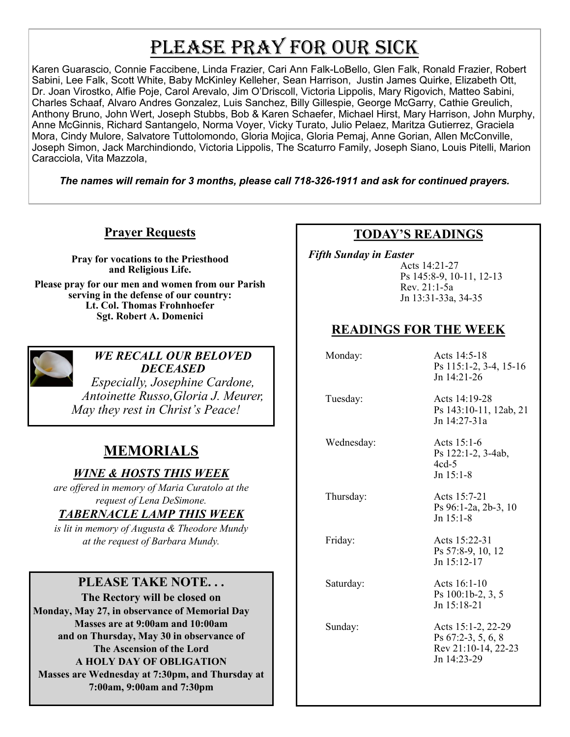# PLEASE PRAY FOR OUR SICK

Karen Guarascio, Connie Faccibene, Linda Frazier, Cari Ann Falk-LoBello, Glen Falk, Ronald Frazier, Robert Sabini, Lee Falk, Scott White, Baby McKinley Kelleher, Sean Harrison, Justin James Quirke, Elizabeth Ott, Dr. Joan Virostko, Alfie Poje, Carol Arevalo, Jim O'Driscoll, Victoria Lippolis, Mary Rigovich, Matteo Sabini, Charles Schaaf, Alvaro Andres Gonzalez, Luis Sanchez, Billy Gillespie, George McGarry, Cathie Greulich, Anthony Bruno, John Wert, Joseph Stubbs, Bob & Karen Schaefer, Michael Hirst, Mary Harrison, John Murphy, Anne McGinnis, Richard Santangelo, Norma Voyer, Vicky Turato, Julio Pelaez, Maritza Gutierrez, Graciela Mora, Cindy Mulore, Salvatore Tuttolomondo, Gloria Mojica, Gloria Pemaj, Anne Gorian, Allen McConville, Joseph Simon, Jack Marchindiondo, Victoria Lippolis, The Scaturro Family, Joseph Siano, Louis Pitelli, Marion Caracciola, Vita Mazzola,

*The names will remain for 3 months, please call 718-326-1911 and ask for continued prayers.*

## **Prayer Requests**

**Pray for vocations to the Priesthood and Religious Life. Please pray for our men and women from our Parish serving in the defense of our country: Lt. Col. Thomas Frohnhoefer Sgt. Robert A. Domenici** 



*WE RECALL OUR BELOVED DECEASED*

*Especially, Josephine Cardone, Antoinette Russo,Gloria J. Meurer, May they rest in Christ's Peace!*

# **MEMORIALS**

*WINE & HOSTS THIS WEEK*

*are offered in memory of Maria Curatolo at the request of Lena DeSimone.*

#### *TABERNACLE LAMP THIS WEEK*

*is lit in memory of Augusta & Theodore Mundy at the request of Barbara Mundy.* 

#### **PLEASE TAKE NOTE. . .**

**The Rectory will be closed on Monday, May 27, in observance of Memorial Day Masses are at 9:00am and 10:00am and on Thursday, May 30 in observance of The Ascension of the Lord A HOLY DAY OF OBLIGATION Masses are Wednesday at 7:30pm, and Thursday at 7:00am, 9:00am and 7:30pm**

### **TODAY'S READINGS**

 *Fifth Sunday in Easter*

Acts 14:21-27 Ps 145:8-9, 10-11, 12-13 Rev. 21:1-5a Jn 13:31-33a, 34-35

## **READINGS FOR THE WEEK**

| Monday:    | Acts 14:5-18<br>Ps 115:1-2, 3-4, 15-16<br>Jn $14:21-26$                        |
|------------|--------------------------------------------------------------------------------|
| Tuesday:   | Acts 14:19-28<br>Ps 143:10-11, 12ab, 21<br>Jn 14:27-31a                        |
| Wednesday: | Acts 15:1-6<br>Ps 122:1-2, 3-4ab,<br>$4cd-5$<br>$Jn$ 15:1-8                    |
| Thursday:  | Acts 15:7-21<br>Ps 96:1-2a, 2b-3, 10<br>$Jn$ 15:1-8                            |
| Friday:    | Acts 15:22-31<br>Ps 57:8-9, 10, 12<br>Jn 15:12-17                              |
| Saturday:  | Acts 16:1-10<br>Ps 100:1b-2, 3, 5<br>$Jn$ 15:18-21                             |
| Sunday:    | Acts 15:1-2, 22-29<br>Ps 67:2-3, 5, 6, 8<br>Rev 21:10-14, 22-23<br>Jn 14:23-29 |
|            |                                                                                |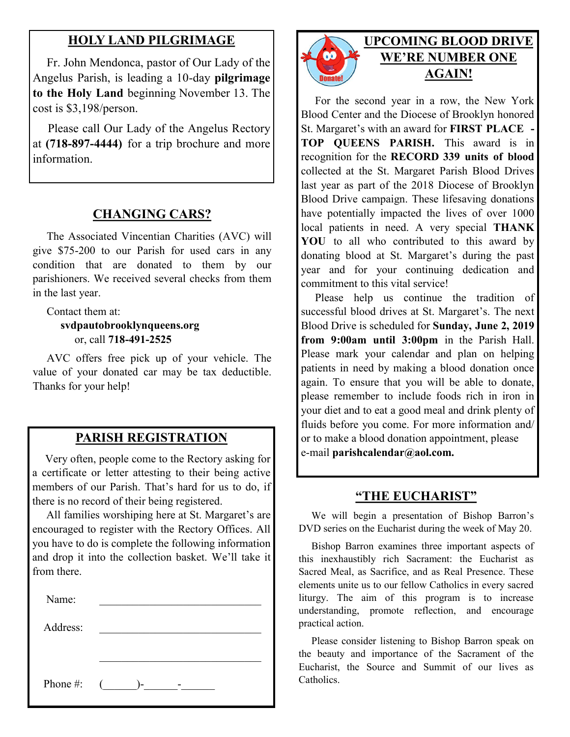### **HOLY LAND PILGRIMAGE**

 Fr. John Mendonca, pastor of Our Lady of the Angelus Parish, is leading a 10-day **pilgrimage to the Holy Land** beginning November 13. The cost is \$3,198/person.

 Please call Our Lady of the Angelus Rectory at **(718-897-4444)** for a trip brochure and more information.

#### **CHANGING CARS?**

 The Associated Vincentian Charities (AVC) will give \$75-200 to our Parish for used cars in any condition that are donated to them by our parishioners. We received several checks from them in the last year.

 Contact them at:  **svdpautobrooklynqueens.org** or, call **718-491-2525**

 AVC offers free pick up of your vehicle. The value of your donated car may be tax deductible. Thanks for your help!

#### **PARISH REGISTRATION**

 Very often, people come to the Rectory asking for a certificate or letter attesting to their being active members of our Parish. That's hard for us to do, if there is no record of their being registered.

 All families worshiping here at St. Margaret's are encouraged to register with the Rectory Offices. All you have to do is complete the following information and drop it into the collection basket. We'll take it from there.

| Name:    |                  |
|----------|------------------|
| Address: |                  |
|          |                  |
| Phone #: | $\sqrt{2}$<br>۰. |



## **UPCOMING BLOOD DRIVE WE'RE NUMBER ONE AGAIN!**

 For the second year in a row, the New York Blood Center and the Diocese of Brooklyn honored St. Margaret's with an award for **FIRST PLACE - TOP QUEENS PARISH.** This award is in recognition for the **RECORD 339 units of blood**  collected at the St. Margaret Parish Blood Drives last year as part of the 2018 Diocese of Brooklyn Blood Drive campaign. These lifesaving donations have potentially impacted the lives of over 1000 local patients in need. A very special **THANK YOU** to all who contributed to this award by donating blood at St. Margaret's during the past year and for your continuing dedication and commitment to this vital service!

 Please help us continue the tradition of successful blood drives at St. Margaret's. The next Blood Drive is scheduled for **Sunday, June 2, 2019 from 9:00am until 3:00pm** in the Parish Hall. Please mark your calendar and plan on helping patients in need by making a blood donation once again. To ensure that you will be able to donate, please remember to include foods rich in iron in your diet and to eat a good meal and drink plenty of fluids before you come. For more information and/ or to make a blood donation appointment, please e-mail **parishcalendar@aol.com.** 

#### **"THE EUCHARIST"**

 We will begin a presentation of Bishop Barron's DVD series on the Eucharist during the week of May 20.

 Bishop Barron examines three important aspects of this inexhaustibly rich Sacrament: the Eucharist as Sacred Meal, as Sacrifice, and as Real Presence. These elements unite us to our fellow Catholics in every sacred liturgy. The aim of this program is to increase understanding, promote reflection, and encourage practical action.

 Please consider listening to Bishop Barron speak on the beauty and importance of the Sacrament of the Eucharist, the Source and Summit of our lives as Catholics.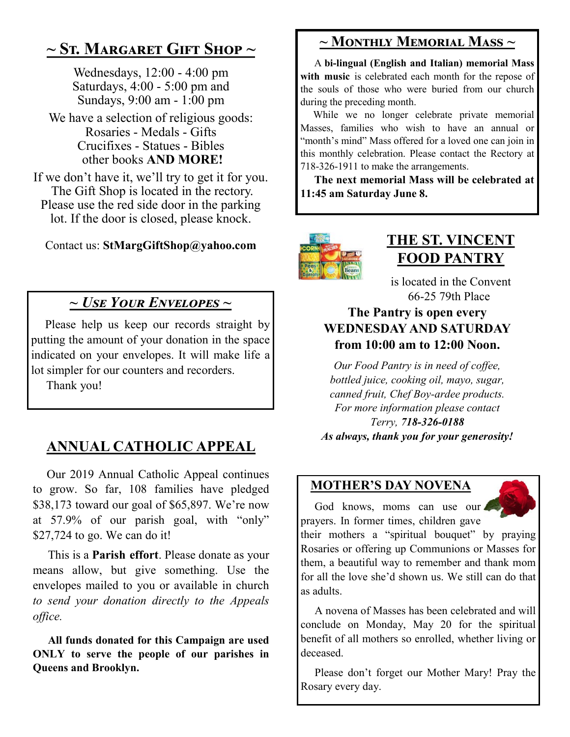# **~ St. Margaret Gift Shop ~**

Wednesdays, 12:00 - 4:00 pm Saturdays, 4:00 - 5:00 pm and Sundays, 9:00 am - 1:00 pm

We have a selection of religious goods: Rosaries - Medals - Gifts Crucifixes - Statues - Bibles other books **AND MORE!**

If we don't have it, we'll try to get it for you. The Gift Shop is located in the rectory. Please use the red side door in the parking lot. If the door is closed, please knock.

Contact us: **StMargGiftShop@yahoo.com**

# *~ Use Your Envelopes ~*

 Please help us keep our records straight by putting the amount of your donation in the space indicated on your envelopes. It will make life a lot simpler for our counters and recorders.

Thank you!

# **ANNUAL CATHOLIC APPEAL**

 Our 2019 Annual Catholic Appeal continues to grow. So far, 108 families have pledged \$38,173 toward our goal of \$65,897. We're now at 57.9% of our parish goal, with "only" \$27,724 to go. We can do it!

 This is a **Parish effort**. Please donate as your means allow, but give something. Use the envelopes mailed to you or available in church *to send your donation directly to the Appeals office.*

 **All funds donated for this Campaign are used ONLY to serve the people of our parishes in Queens and Brooklyn.**

# **~ Monthly Memorial Mass ~**

 A **bi-lingual (English and Italian) memorial Mass**  with music is celebrated each month for the repose of the souls of those who were buried from our church during the preceding month.

 While we no longer celebrate private memorial Masses, families who wish to have an annual or "month's mind" Mass offered for a loved one can join in this monthly celebration. Please contact the Rectory at 718-326-1911 to make the arrangements.

 **The next memorial Mass will be celebrated at 11:45 am Saturday June 8.** 



# **THE ST. VINCENT FOOD PANTRY**

is located in the Convent 66-25 79th Place

## **The Pantry is open every WEDNESDAY AND SATURDAY from 10:00 am to 12:00 Noon.**

*Our Food Pantry is in need of coffee, bottled juice, cooking oil, mayo, sugar, canned fruit, Chef Boy-ardee products. For more information please contact Terry, 718-326-0188 As always, thank you for your generosity!*

## **MOTHER'S DAY NOVENA**

God knows, moms can use our prayers. In former times, children gave

their mothers a "spiritual bouquet" by praying Rosaries or offering up Communions or Masses for them, a beautiful way to remember and thank mom for all the love she'd shown us. We still can do that as adults.

 A novena of Masses has been celebrated and will conclude on Monday, May 20 for the spiritual benefit of all mothers so enrolled, whether living or deceased.

 Please don't forget our Mother Mary! Pray the Rosary every day.